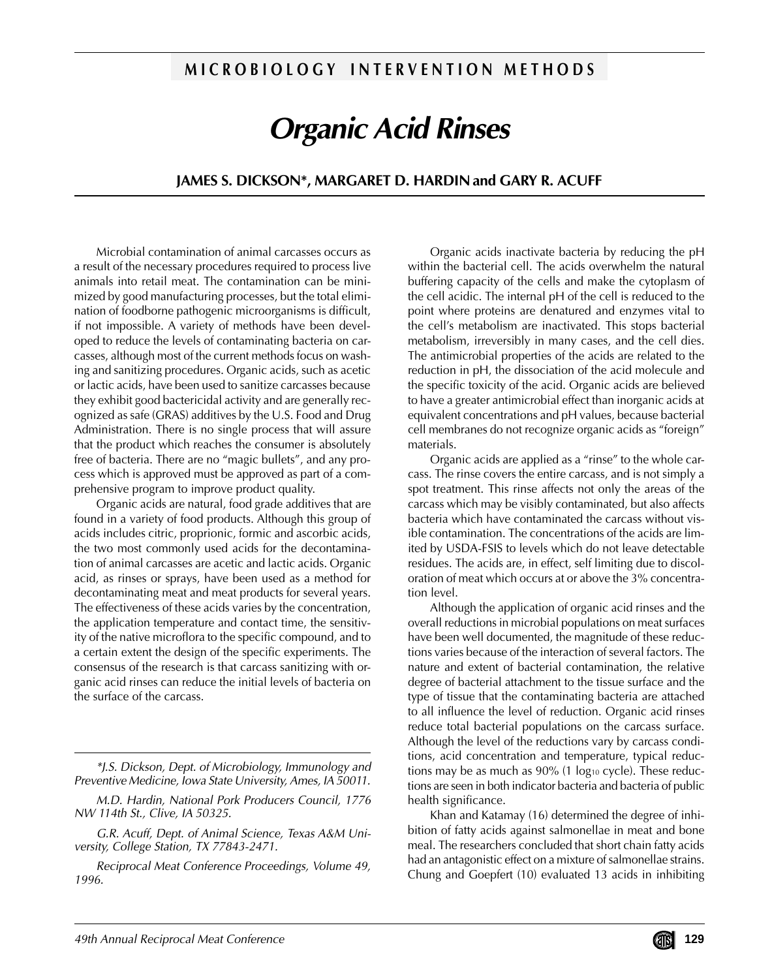## **M I C R O B I O L O G Y I N T E R V E N T I O N M E T H O D S**

# **Organic Acid Rinses**

## **JAMES S. DICKSON\*, MARGARET D. HARDIN and GARY R. ACUFF**

Microbial contamination of animal carcasses occurs as a result of the necessary procedures required to process live animals into retail meat. The contamination can be minimized by good manufacturing processes, but the total elimination of foodborne pathogenic microorganisms is difficult, if not impossible. A variety of methods have been developed to reduce the levels of contaminating bacteria on carcasses, although most of the current methods focus on washing and sanitizing procedures. Organic acids, such as acetic or lactic acids, have been used to sanitize carcasses because they exhibit good bactericidal activity and are generally recognized as safe (GRAS) additives by the U.S. Food and Drug Administration. There is no single process that will assure that the product which reaches the consumer is absolutely free of bacteria. There are no "magic bullets", and any process which is approved must be approved as part of a comprehensive program to improve product quality.

Organic acids are natural, food grade additives that are found in a variety of food products. Although this group of acids includes citric, proprionic, formic and ascorbic acids, the two most commonly used acids for the decontamination of animal carcasses are acetic and lactic acids. Organic acid, as rinses or sprays, have been used as a method for decontaminating meat and meat products for several years. The effectiveness of these acids varies by the concentration, the application temperature and contact time, the sensitivity of the native microflora to the specific compound, and to a certain extent the design of the specific experiments. The consensus of the research is that carcass sanitizing with organic acid rinses can reduce the initial levels of bacteria on the surface of the carcass.

M.D. Hardin, National Pork Producers Council, 1776 NW 114th St., Clive, IA 50325.

G.R. Acuff, Dept. of Animal Science, Texas A&M University, College Station, TX 77843-2471.

Reciprocal Meat Conference Proceedings, Volume 49, 1996.

Organic acids inactivate bacteria by reducing the pH within the bacterial cell. The acids overwhelm the natural buffering capacity of the cells and make the cytoplasm of the cell acidic. The internal pH of the cell is reduced to the point where proteins are denatured and enzymes vital to the cell's metabolism are inactivated. This stops bacterial metabolism, irreversibly in many cases, and the cell dies. The antimicrobial properties of the acids are related to the reduction in pH, the dissociation of the acid molecule and the specific toxicity of the acid. Organic acids are believed to have a greater antimicrobial effect than inorganic acids at equivalent concentrations and pH values, because bacterial cell membranes do not recognize organic acids as "foreign" materials.

Organic acids are applied as a "rinse" to the whole carcass. The rinse covers the entire carcass, and is not simply a spot treatment. This rinse affects not only the areas of the carcass which may be visibly contaminated, but also affects bacteria which have contaminated the carcass without visible contamination. The concentrations of the acids are limited by USDA-FSIS to levels which do not leave detectable residues. The acids are, in effect, self limiting due to discoloration of meat which occurs at or above the 3% concentration level.

Although the application of organic acid rinses and the overall reductions in microbial populations on meat surfaces have been well documented, the magnitude of these reductions varies because of the interaction of several factors. The nature and extent of bacterial contamination, the relative degree of bacterial attachment to the tissue surface and the type of tissue that the contaminating bacteria are attached to all influence the level of reduction. Organic acid rinses reduce total bacterial populations on the carcass surface. Although the level of the reductions vary by carcass conditions, acid concentration and temperature, typical reductions may be as much as  $90\%$  (1 log<sub>10</sub> cycle). These reductions are seen in both indicator bacteria and bacteria of public health significance.

Khan and Katamay (16) determined the degree of inhibition of fatty acids against salmonellae in meat and bone meal. The researchers concluded that short chain fatty acids had an antagonistic effect on a mixture of salmonellae strains. Chung and Goepfert (10) evaluated 13 acids in inhibiting

<sup>\*</sup>J.S. Dickson, Dept. of Microbiology, Immunology and Preventive Medicine, Iowa State University, Ames, IA 50011.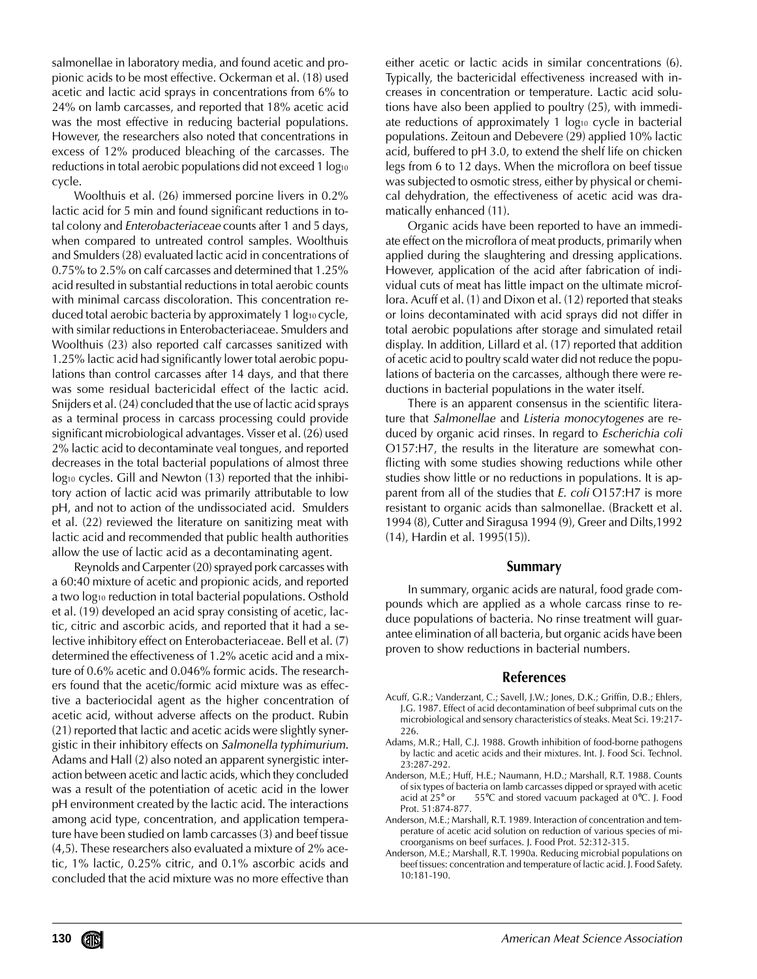salmonellae in laboratory media, and found acetic and propionic acids to be most effective. Ockerman et al. (18) used acetic and lactic acid sprays in concentrations from 6% to 24% on lamb carcasses, and reported that 18% acetic acid was the most effective in reducing bacterial populations. However, the researchers also noted that concentrations in excess of 12% produced bleaching of the carcasses. The reductions in total aerobic populations did not exceed 1 log<sub>10</sub> cycle.

Woolthuis et al. (26) immersed porcine livers in 0.2% lactic acid for 5 min and found significant reductions in total colony and Enterobacteriaceae counts after 1 and 5 days, when compared to untreated control samples. Woolthuis and Smulders (28) evaluated lactic acid in concentrations of 0.75% to 2.5% on calf carcasses and determined that 1.25% acid resulted in substantial reductions in total aerobic counts with minimal carcass discoloration. This concentration reduced total aerobic bacteria by approximately 1 log10 cycle, with similar reductions in Enterobacteriaceae. Smulders and Woolthuis (23) also reported calf carcasses sanitized with 1.25% lactic acid had significantly lower total aerobic populations than control carcasses after 14 days, and that there was some residual bactericidal effect of the lactic acid. Snijders et al. (24) concluded that the use of lactic acid sprays as a terminal process in carcass processing could provide significant microbiological advantages. Visser et al. (26) used 2% lactic acid to decontaminate veal tongues, and reported decreases in the total bacterial populations of almost three log<sub>10</sub> cycles. Gill and Newton (13) reported that the inhibitory action of lactic acid was primarily attributable to low pH, and not to action of the undissociated acid. Smulders et al. (22) reviewed the literature on sanitizing meat with lactic acid and recommended that public health authorities allow the use of lactic acid as a decontaminating agent.

Reynolds and Carpenter (20) sprayed pork carcasses with a 60:40 mixture of acetic and propionic acids, and reported a two log<sub>10</sub> reduction in total bacterial populations. Osthold et al. (19) developed an acid spray consisting of acetic, lactic, citric and ascorbic acids, and reported that it had a selective inhibitory effect on Enterobacteriaceae. Bell et al. (7) determined the effectiveness of 1.2% acetic acid and a mixture of 0.6% acetic and 0.046% formic acids. The researchers found that the acetic/formic acid mixture was as effective a bacteriocidal agent as the higher concentration of acetic acid, without adverse affects on the product. Rubin (21) reported that lactic and acetic acids were slightly synergistic in their inhibitory effects on Salmonella typhimurium. Adams and Hall (2) also noted an apparent synergistic interaction between acetic and lactic acids, which they concluded was a result of the potentiation of acetic acid in the lower pH environment created by the lactic acid. The interactions among acid type, concentration, and application temperature have been studied on lamb carcasses (3) and beef tissue (4,5). These researchers also evaluated a mixture of 2% acetic, 1% lactic, 0.25% citric, and 0.1% ascorbic acids and concluded that the acid mixture was no more effective than either acetic or lactic acids in similar concentrations (6). Typically, the bactericidal effectiveness increased with increases in concentration or temperature. Lactic acid solutions have also been applied to poultry (25), with immediate reductions of approximately 1 log<sub>10</sub> cycle in bacterial populations. Zeitoun and Debevere (29) applied 10% lactic acid, buffered to pH 3.0, to extend the shelf life on chicken legs from 6 to 12 days. When the microflora on beef tissue was subjected to osmotic stress, either by physical or chemical dehydration, the effectiveness of acetic acid was dramatically enhanced (11).

Organic acids have been reported to have an immediate effect on the microflora of meat products, primarily when applied during the slaughtering and dressing applications. However, application of the acid after fabrication of individual cuts of meat has little impact on the ultimate microflora. Acuff et al. (1) and Dixon et al. (12) reported that steaks or loins decontaminated with acid sprays did not differ in total aerobic populations after storage and simulated retail display. In addition, Lillard et al. (17) reported that addition of acetic acid to poultry scald water did not reduce the populations of bacteria on the carcasses, although there were reductions in bacterial populations in the water itself.

There is an apparent consensus in the scientific literature that Salmonellae and Listeria monocytogenes are reduced by organic acid rinses. In regard to Escherichia coli O157:H7, the results in the literature are somewhat conflicting with some studies showing reductions while other studies show little or no reductions in populations. It is apparent from all of the studies that E. coli O157:H7 is more resistant to organic acids than salmonellae. (Brackett et al. 1994 (8), Cutter and Siragusa 1994 (9), Greer and Dilts,1992 (14), Hardin et al. 1995(15)).

### **Summary**

In summary, organic acids are natural, food grade compounds which are applied as a whole carcass rinse to reduce populations of bacteria. No rinse treatment will guarantee elimination of all bacteria, but organic acids have been proven to show reductions in bacterial numbers.

### **References**

- Acuff, G.R.; Vanderzant, C.; Savell, J.W.; Jones, D.K.; Griffin, D.B.; Ehlers, J.G. 1987. Effect of acid decontamination of beef subprimal cuts on the microbiological and sensory characteristics of steaks. Meat Sci. 19:217- 226.
- Adams, M.R.; Hall, C.J. 1988. Growth inhibition of food-borne pathogens by lactic and acetic acids and their mixtures. Int. J. Food Sci. Technol. 23:287-292.
- Anderson, M.E.; Huff, H.E.; Naumann, H.D.; Marshall, R.T. 1988. Counts of six types of bacteria on lamb carcasses dipped or sprayed with acetic acid at 25° or 55°C and stored vacuum packaged at 0°C. J. Food Prot. 51:874-877.
- Anderson, M.E.; Marshall, R.T. 1989. Interaction of concentration and temperature of acetic acid solution on reduction of various species of microorganisms on beef surfaces. J. Food Prot. 52:312-315.
- Anderson, M.E.; Marshall, R.T. 1990a. Reducing microbial populations on beef tissues: concentration and temperature of lactic acid. J. Food Safety. 10:181-190.